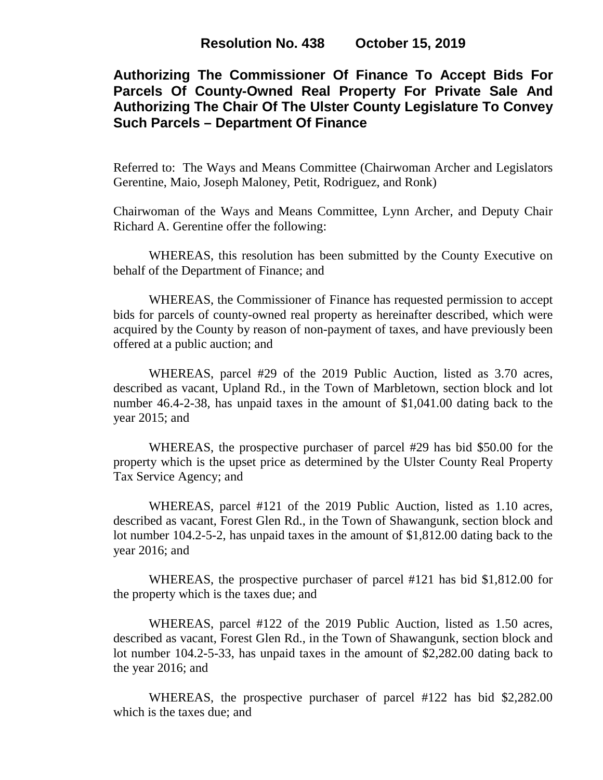# **Authorizing The Commissioner Of Finance To Accept Bids For Parcels Of County-Owned Real Property For Private Sale And Authorizing The Chair Of The Ulster County Legislature To Convey Such Parcels – Department Of Finance**

Referred to: The Ways and Means Committee (Chairwoman Archer and Legislators Gerentine, Maio, Joseph Maloney, Petit, Rodriguez, and Ronk)

Chairwoman of the Ways and Means Committee, Lynn Archer, and Deputy Chair Richard A. Gerentine offer the following:

WHEREAS, this resolution has been submitted by the County Executive on behalf of the Department of Finance; and

WHEREAS, the Commissioner of Finance has requested permission to accept bids for parcels of county-owned real property as hereinafter described, which were acquired by the County by reason of non-payment of taxes, and have previously been offered at a public auction; and

WHEREAS, parcel #29 of the 2019 Public Auction, listed as 3.70 acres, described as vacant, Upland Rd., in the Town of Marbletown, section block and lot number 46.4-2-38, has unpaid taxes in the amount of \$1,041.00 dating back to the year 2015; and

WHEREAS, the prospective purchaser of parcel #29 has bid \$50.00 for the property which is the upset price as determined by the Ulster County Real Property Tax Service Agency; and

WHEREAS, parcel #121 of the 2019 Public Auction, listed as 1.10 acres, described as vacant, Forest Glen Rd., in the Town of Shawangunk, section block and lot number 104.2-5-2, has unpaid taxes in the amount of \$1,812.00 dating back to the year 2016; and

WHEREAS, the prospective purchaser of parcel #121 has bid \$1,812.00 for the property which is the taxes due; and

WHEREAS, parcel #122 of the 2019 Public Auction, listed as 1.50 acres, described as vacant, Forest Glen Rd., in the Town of Shawangunk, section block and lot number 104.2-5-33, has unpaid taxes in the amount of \$2,282.00 dating back to the year 2016; and

WHEREAS, the prospective purchaser of parcel #122 has bid \$2,282.00 which is the taxes due; and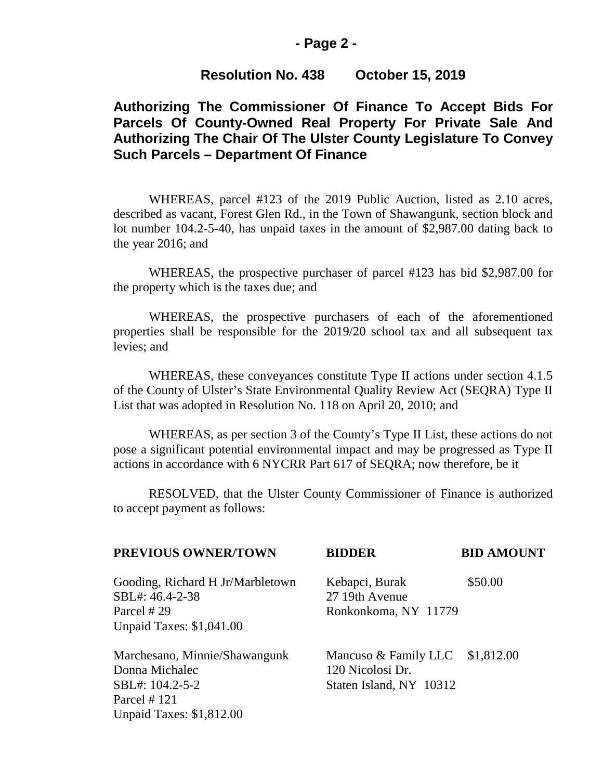#### **- Page 2 -**

### **Resolution No. 438 October 15, 2019**

## **Authorizing The Commissioner Of Finance To Accept Bids For Parcels Of County-Owned Real Property For Private Sale And Authorizing The Chair Of The Ulster County Legislature To Convey Such Parcels – Department Of Finance**

WHEREAS, parcel #123 of the 2019 Public Auction, listed as 2.10 acres, described as vacant, Forest Glen Rd., in the Town of Shawangunk, section block and lot number 104.2-5-40, has unpaid taxes in the amount of \$2,987.00 dating back to the year 2016; and

WHEREAS, the prospective purchaser of parcel #123 has bid \$2,987.00 for the property which is the taxes due; and

WHEREAS, the prospective purchasers of each of the aforementioned properties shall be responsible for the 2019/20 school tax and all subsequent tax levies; and

WHEREAS, these conveyances constitute Type II actions under section 4.1.5 of the County of Ulster's State Environmental Quality Review Act (SEQRA) Type II List that was adopted in Resolution No. 118 on April 20, 2010; and

WHEREAS, as per section 3 of the County's Type II List, these actions do not pose a significant potential environmental impact and may be progressed as Type II actions in accordance with 6 NYCRR Part 617 of SEQRA; now therefore, be it

RESOLVED, that the Ulster County Commissioner of Finance is authorized to accept payment as follows:

| PREVIOUS OWNER/TOWN              | <b>BIDDER</b>           | <b>BID AMOUNT</b> |
|----------------------------------|-------------------------|-------------------|
| Gooding, Richard H Jr/Marbletown | Kebapci, Burak          | \$50.00           |
| SBL#: 46.4-2-38                  | 27 19th Avenue          |                   |
| Parcel #29                       | Ronkonkoma, NY 11779    |                   |
| <b>Unpaid Taxes: \$1,041.00</b>  |                         |                   |
| Marchesano, Minnie/Shawangunk    | Mancuso & Family LLC    | \$1,812.00        |
| Donna Michalec                   | 120 Nicolosi Dr.        |                   |
| SBL#: 104.2-5-2                  | Staten Island, NY 10312 |                   |
| Parcel $# 121$                   |                         |                   |
| <b>Unpaid Taxes: \$1,812.00</b>  |                         |                   |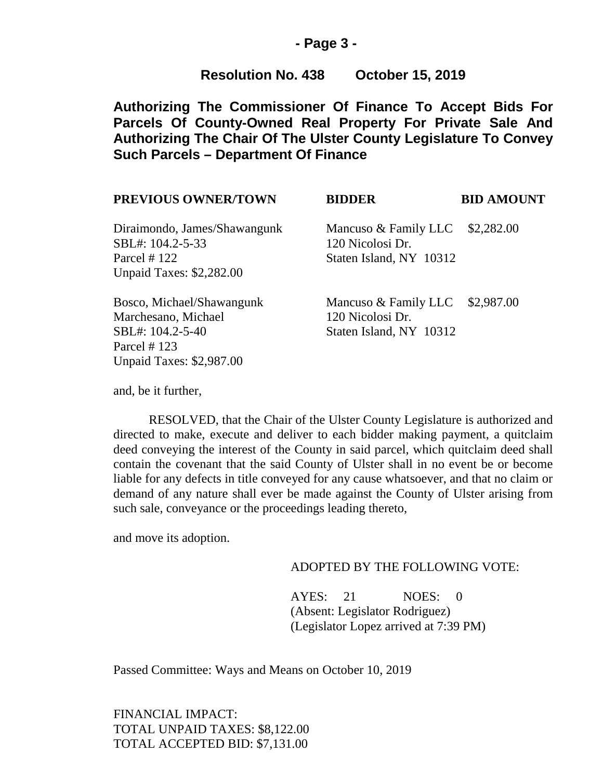#### **- Page 3 -**

### **Resolution No. 438 October 15, 2019**

**Authorizing The Commissioner Of Finance To Accept Bids For Parcels Of County-Owned Real Property For Private Sale And Authorizing The Chair Of The Ulster County Legislature To Convey Such Parcels – Department Of Finance**

| PREVIOUS OWNER/TOWN                                                                                                     | <b>BIDDER</b>                                                                  | <b>BID AMOUNT</b> |
|-------------------------------------------------------------------------------------------------------------------------|--------------------------------------------------------------------------------|-------------------|
| Diraimondo, James/Shawangunk<br>SBL#: 104.2-5-33<br>Parcel # 122<br><b>Unpaid Taxes: \$2,282.00</b>                     | Mancuso & Family LLC \$2,282.00<br>120 Nicolosi Dr.<br>Staten Island, NY 10312 |                   |
| Bosco, Michael/Shawangunk<br>Marchesano, Michael<br>SBL#: 104.2-5-40<br>Parcel # 123<br><b>Unpaid Taxes: \$2,987.00</b> | Mancuso & Family LLC \$2,987.00<br>120 Nicolosi Dr.<br>Staten Island, NY 10312 |                   |

and, be it further,

RESOLVED, that the Chair of the Ulster County Legislature is authorized and directed to make, execute and deliver to each bidder making payment, a quitclaim deed conveying the interest of the County in said parcel, which quitclaim deed shall contain the covenant that the said County of Ulster shall in no event be or become liable for any defects in title conveyed for any cause whatsoever, and that no claim or demand of any nature shall ever be made against the County of Ulster arising from such sale, conveyance or the proceedings leading thereto,

and move its adoption.

## ADOPTED BY THE FOLLOWING VOTE:

AYES: 21 NOES: 0 (Absent: Legislator Rodriguez) (Legislator Lopez arrived at 7:39 PM)

Passed Committee: Ways and Means on October 10, 2019

FINANCIAL IMPACT: TOTAL UNPAID TAXES: \$8,122.00 TOTAL ACCEPTED BID: \$7,131.00